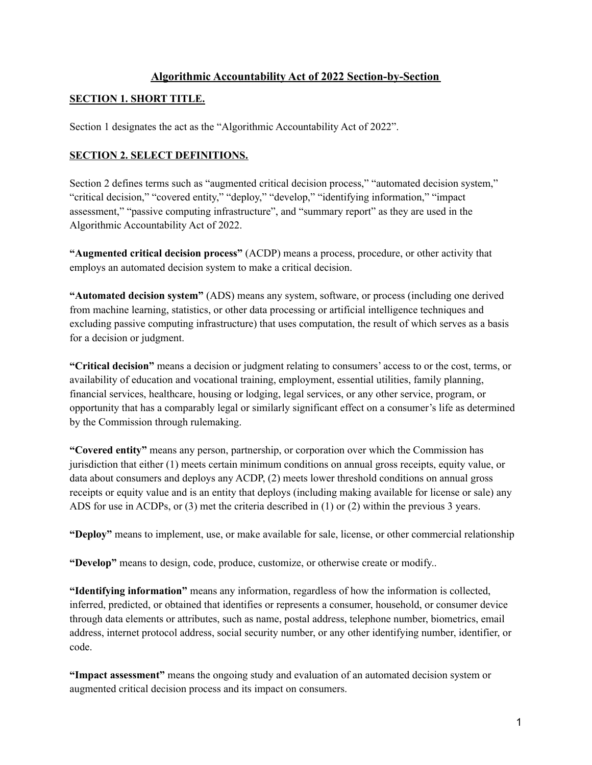# **Algorithmic Accountability Act of 2022 Section-by-Section**

# **SECTION 1. SHORT TITLE.**

Section 1 designates the act as the "Algorithmic Accountability Act of 2022".

### **SECTION 2. SELECT DEFINITIONS.**

Section 2 defines terms such as "augmented critical decision process," "automated decision system," "critical decision," "covered entity," "deploy," "develop," "identifying information," "impact assessment," "passive computing infrastructure", and "summary report" as they are used in the Algorithmic Accountability Act of 2022.

**"Augmented critical decision process"** (ACDP) means a process, procedure, or other activity that employs an automated decision system to make a critical decision.

**"Automated decision system"** (ADS) means any system, software, or process (including one derived from machine learning, statistics, or other data processing or artificial intelligence techniques and excluding passive computing infrastructure) that uses computation, the result of which serves as a basis for a decision or judgment.

**"Critical decision"** means a decision or judgment relating to consumers' access to or the cost, terms, or availability of education and vocational training, employment, essential utilities, family planning, financial services, healthcare, housing or lodging, legal services, or any other service, program, or opportunity that has a comparably legal or similarly significant effect on a consumer's life as determined by the Commission through rulemaking.

**"Covered entity"** means any person, partnership, or corporation over which the Commission has jurisdiction that either (1) meets certain minimum conditions on annual gross receipts, equity value, or data about consumers and deploys any ACDP, (2) meets lower threshold conditions on annual gross receipts or equity value and is an entity that deploys (including making available for license or sale) any ADS for use in ACDPs, or (3) met the criteria described in (1) or (2) within the previous 3 years.

**"Deploy"** means to implement, use, or make available for sale, license, or other commercial relationship

**"Develop"** means to design, code, produce, customize, or otherwise create or modify..

**"Identifying information"** means any information, regardless of how the information is collected, inferred, predicted, or obtained that identifies or represents a consumer, household, or consumer device through data elements or attributes, such as name, postal address, telephone number, biometrics, email address, internet protocol address, social security number, or any other identifying number, identifier, or code.

**"Impact assessment"** means the ongoing study and evaluation of an automated decision system or augmented critical decision process and its impact on consumers.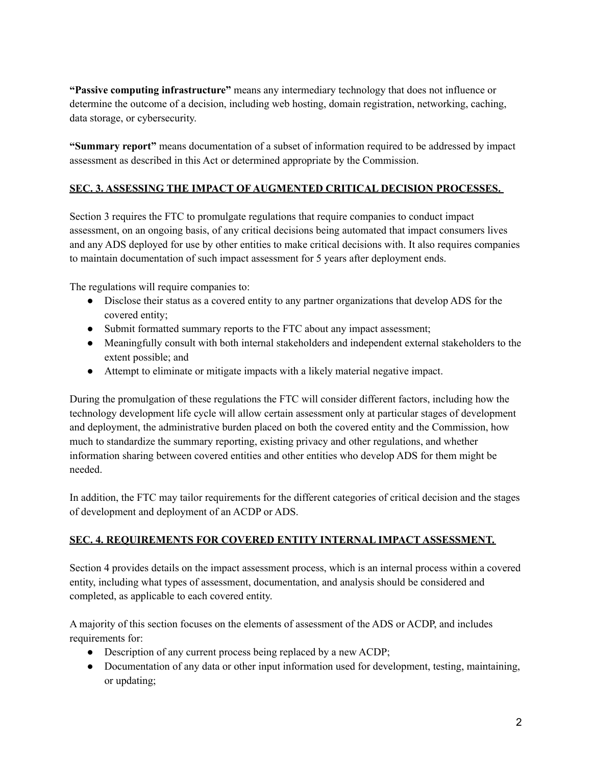**"Passive computing infrastructure"** means any intermediary technology that does not influence or determine the outcome of a decision, including web hosting, domain registration, networking, caching, data storage, or cybersecurity.

**"Summary report"** means documentation of a subset of information required to be addressed by impact assessment as described in this Act or determined appropriate by the Commission.

# **SEC. 3. ASSESSING THE IMPACT OF AUGMENTED CRITICAL DECISION PROCESSES.**

Section 3 requires the FTC to promulgate regulations that require companies to conduct impact assessment, on an ongoing basis, of any critical decisions being automated that impact consumers lives and any ADS deployed for use by other entities to make critical decisions with. It also requires companies to maintain documentation of such impact assessment for 5 years after deployment ends.

The regulations will require companies to:

- Disclose their status as a covered entity to any partner organizations that develop ADS for the covered entity;
- Submit formatted summary reports to the FTC about any impact assessment;
- Meaningfully consult with both internal stakeholders and independent external stakeholders to the extent possible; and
- Attempt to eliminate or mitigate impacts with a likely material negative impact.

During the promulgation of these regulations the FTC will consider different factors, including how the technology development life cycle will allow certain assessment only at particular stages of development and deployment, the administrative burden placed on both the covered entity and the Commission, how much to standardize the summary reporting, existing privacy and other regulations, and whether information sharing between covered entities and other entities who develop ADS for them might be needed.

In addition, the FTC may tailor requirements for the different categories of critical decision and the stages of development and deployment of an ACDP or ADS.

# **SEC. 4. REQUIREMENTS FOR COVERED ENTITY INTERNAL IMPACT ASSESSMENT.**

Section 4 provides details on the impact assessment process, which is an internal process within a covered entity, including what types of assessment, documentation, and analysis should be considered and completed, as applicable to each covered entity.

A majority of this section focuses on the elements of assessment of the ADS or ACDP, and includes requirements for:

- Description of any current process being replaced by a new ACDP;
- Documentation of any data or other input information used for development, testing, maintaining, or updating;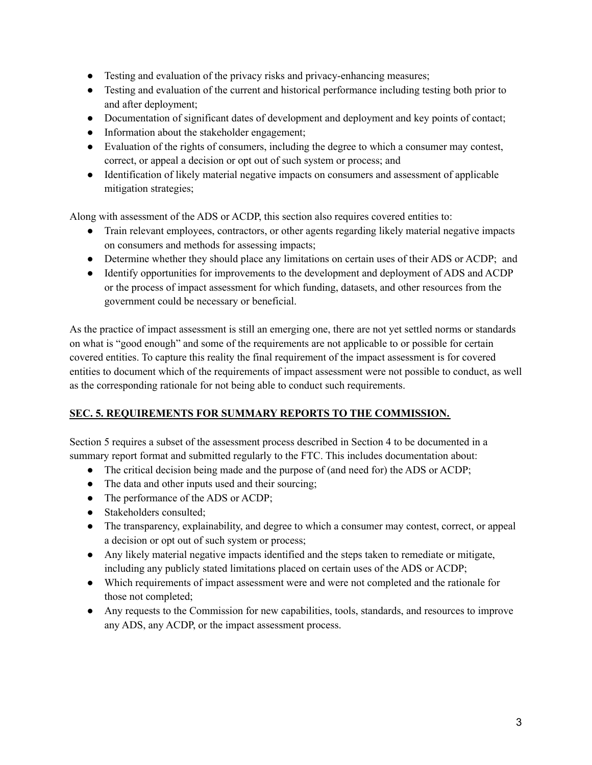- Testing and evaluation of the privacy risks and privacy-enhancing measures;
- Testing and evaluation of the current and historical performance including testing both prior to and after deployment;
- Documentation of significant dates of development and deployment and key points of contact;
- Information about the stakeholder engagement;
- Evaluation of the rights of consumers, including the degree to which a consumer may contest, correct, or appeal a decision or opt out of such system or process; and
- Identification of likely material negative impacts on consumers and assessment of applicable mitigation strategies;

Along with assessment of the ADS or ACDP, this section also requires covered entities to:

- Train relevant employees, contractors, or other agents regarding likely material negative impacts on consumers and methods for assessing impacts;
- Determine whether they should place any limitations on certain uses of their ADS or ACDP; and
- Identify opportunities for improvements to the development and deployment of ADS and ACDP or the process of impact assessment for which funding, datasets, and other resources from the government could be necessary or beneficial.

As the practice of impact assessment is still an emerging one, there are not yet settled norms or standards on what is "good enough" and some of the requirements are not applicable to or possible for certain covered entities. To capture this reality the final requirement of the impact assessment is for covered entities to document which of the requirements of impact assessment were not possible to conduct, as well as the corresponding rationale for not being able to conduct such requirements.

#### **SEC. 5. REQUIREMENTS FOR SUMMARY REPORTS TO THE COMMISSION.**

Section 5 requires a subset of the assessment process described in Section 4 to be documented in a summary report format and submitted regularly to the FTC. This includes documentation about:

- The critical decision being made and the purpose of (and need for) the ADS or ACDP;
- The data and other inputs used and their sourcing;
- The performance of the ADS or ACDP;
- Stakeholders consulted:
- The transparency, explainability, and degree to which a consumer may contest, correct, or appeal a decision or opt out of such system or process;
- Any likely material negative impacts identified and the steps taken to remediate or mitigate, including any publicly stated limitations placed on certain uses of the ADS or ACDP;
- Which requirements of impact assessment were and were not completed and the rationale for those not completed;
- Any requests to the Commission for new capabilities, tools, standards, and resources to improve any ADS, any ACDP, or the impact assessment process.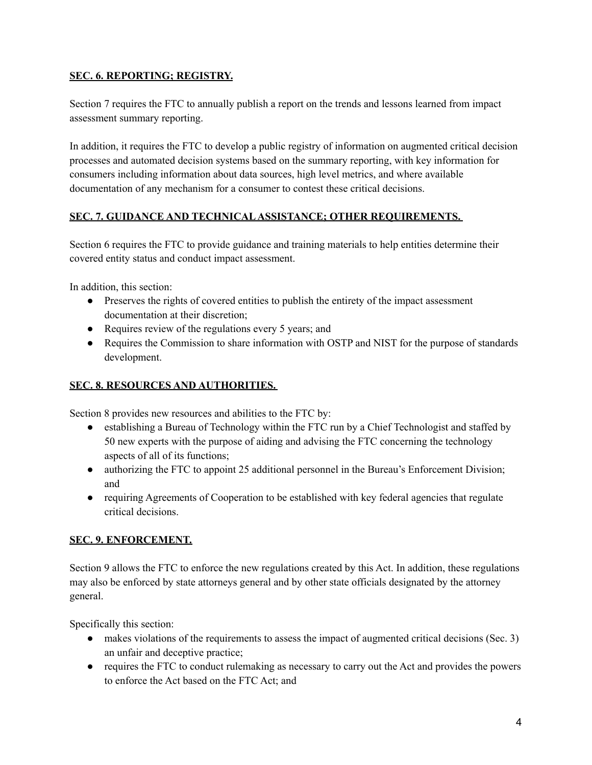### **SEC. 6. REPORTING; REGISTRY.**

Section 7 requires the FTC to annually publish a report on the trends and lessons learned from impact assessment summary reporting.

In addition, it requires the FTC to develop a public registry of information on augmented critical decision processes and automated decision systems based on the summary reporting, with key information for consumers including information about data sources, high level metrics, and where available documentation of any mechanism for a consumer to contest these critical decisions.

#### **SEC. 7. GUIDANCE AND TECHNICALASSISTANCE; OTHER REQUIREMENTS.**

Section 6 requires the FTC to provide guidance and training materials to help entities determine their covered entity status and conduct impact assessment.

In addition, this section:

- Preserves the rights of covered entities to publish the entirety of the impact assessment documentation at their discretion;
- Requires review of the regulations every 5 years; and
- Requires the Commission to share information with OSTP and NIST for the purpose of standards development.

# **SEC. 8. RESOURCES AND AUTHORITIES.**

Section 8 provides new resources and abilities to the FTC by:

- establishing a Bureau of Technology within the FTC run by a Chief Technologist and staffed by 50 new experts with the purpose of aiding and advising the FTC concerning the technology aspects of all of its functions;
- authorizing the FTC to appoint 25 additional personnel in the Bureau's Enforcement Division; and
- requiring Agreements of Cooperation to be established with key federal agencies that regulate critical decisions.

#### **SEC. 9. ENFORCEMENT.**

Section 9 allows the FTC to enforce the new regulations created by this Act. In addition, these regulations may also be enforced by state attorneys general and by other state officials designated by the attorney general.

Specifically this section:

- makes violations of the requirements to assess the impact of augmented critical decisions (Sec. 3) an unfair and deceptive practice;
- requires the FTC to conduct rulemaking as necessary to carry out the Act and provides the powers to enforce the Act based on the FTC Act; and